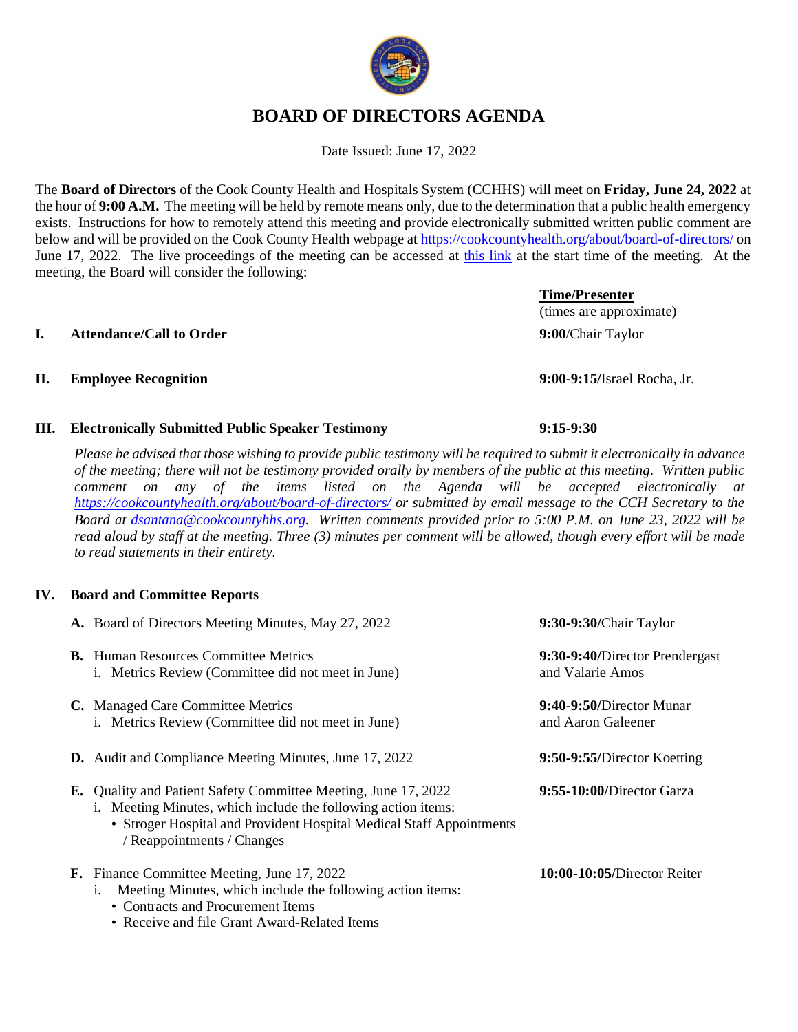# **BOARD OF DIRECTORS AGENDA**

Date Issued: June 17, 2022

The **Board of Directors** of the Cook County Health and Hospitals System (CCHHS) will meet on **Friday, June 24, 2022** at the hour of **9:00 A.M.** The meeting will be held by remote means only, due to the determination that a public health emergency exists. Instructions for how to remotely attend this meeting and provide electronically submitted written public comment are below and will be provided on the Cook County Health webpage a[t https://cookcountyhealth.org/about/board-of-directors/](https://cookcountyhealth.org/about/board-of-directors/) on June 17, 2022. The live proceedings of the meeting can be accessed at [this link](https://www.youtube.com/channel/UCj9DT_l0RU-MVC-_u-tOkZA) at the start time of the meeting. At the meeting, the Board will consider the following:

#### **I. Attendance/Call to Order 9:00**/Chair Taylor

#### **II. Employee Recognition 9:00-9:15/**Israel Rocha, Jr.

#### **III. Electronically Submitted Public Speaker Testimony 9:15-9:30**

• Receive and file Grant Award-Related Items

*Please be advised that those wishing to provide public testimony will be required to submit it electronically in advance of the meeting; there will not be testimony provided orally by members of the public at this meeting. Written public comment on any of the items listed on the Agenda will be accepted electronically at <https://cookcountyhealth.org/about/board-of-directors/> or submitted by email message to the CCH Secretary to the Board at [dsantana@cookcountyhhs.org.](mailto:dsantana@cookcountyhhs.org) Written comments provided prior to 5:00 P.M. on June 23, 2022 will be read aloud by staff at the meeting. Three (3) minutes per comment will be allowed, though every effort will be made to read statements in their entirety.*

#### **IV. Board and Committee Reports**

|    | A. Board of Directors Meeting Minutes, May 27, 2022                                                                                                                                                                                | 9:30-9:30/Chair Taylor                             |
|----|------------------------------------------------------------------------------------------------------------------------------------------------------------------------------------------------------------------------------------|----------------------------------------------------|
|    | <b>B.</b> Human Resources Committee Metrics<br>i. Metrics Review (Committee did not meet in June)                                                                                                                                  | 9:30-9:40/Director Prendergast<br>and Valarie Amos |
|    | C. Managed Care Committee Metrics<br>i. Metrics Review (Committee did not meet in June)                                                                                                                                            | 9:40-9:50/Director Munar<br>and Aaron Galeener     |
|    | <b>D.</b> Audit and Compliance Meeting Minutes, June 17, 2022                                                                                                                                                                      | 9:50-9:55/Director Koetting                        |
| E. | Quality and Patient Safety Committee Meeting, June 17, 2022<br>i. Meeting Minutes, which include the following action items:<br>• Stroger Hospital and Provident Hospital Medical Staff Appointments<br>/ Reappointments / Changes | 9:55-10:00/Director Garza                          |
|    | <b>F.</b> Finance Committee Meeting, June 17, 2022<br>Meeting Minutes, which include the following action items:<br>1.<br>• Contracts and Procurement Items                                                                        | 10:00-10:05/Director Reiter                        |



(times are approximate)

**Time/Presenter**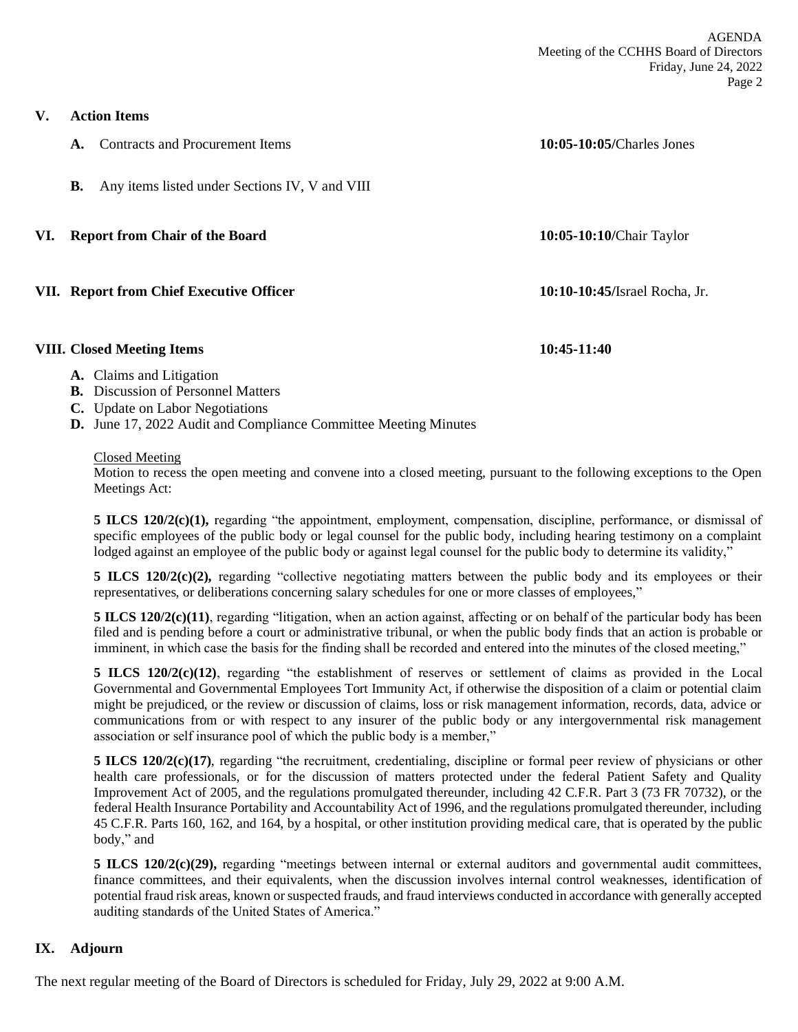**V. Action Items**

| A. | Contracts and Procurement Items                | $10:05-10:05$ /Charles Jones  |  |
|----|------------------------------------------------|-------------------------------|--|
| В. | Any items listed under Sections IV, V and VIII |                               |  |
|    | VI. Report from Chair of the Board             | 10:05-10:10/Chair Taylor      |  |
|    | VII. Report from Chief Executive Officer       | 10:10-10:45/Israel Rocha, Jr. |  |

#### **VIII. Closed Meeting Items 10:45-11:40**

### **A.** Claims and Litigation

- **B.** Discussion of Personnel Matters
- **C.** Update on Labor Negotiations
- **D.** June 17, 2022 Audit and Compliance Committee Meeting Minutes

#### Closed Meeting

Motion to recess the open meeting and convene into a closed meeting, pursuant to the following exceptions to the Open Meetings Act:

**5 ILCS 120/2(c)(1),** regarding "the appointment, employment, compensation, discipline, performance, or dismissal of specific employees of the public body or legal counsel for the public body, including hearing testimony on a complaint lodged against an employee of the public body or against legal counsel for the public body to determine its validity,"

**5 ILCS 120/2(c)(2),** regarding "collective negotiating matters between the public body and its employees or their representatives, or deliberations concerning salary schedules for one or more classes of employees,"

**5 ILCS 120/2(c)(11)**, regarding "litigation, when an action against, affecting or on behalf of the particular body has been filed and is pending before a court or administrative tribunal, or when the public body finds that an action is probable or imminent, in which case the basis for the finding shall be recorded and entered into the minutes of the closed meeting,"

**5 ILCS 120/2(c)(12)**, regarding "the establishment of reserves or settlement of claims as provided in the Local Governmental and Governmental Employees Tort Immunity Act, if otherwise the disposition of a claim or potential claim might be prejudiced, or the review or discussion of claims, loss or risk management information, records, data, advice or communications from or with respect to any insurer of the public body or any intergovernmental risk management association or self insurance pool of which the public body is a member,"

**5 ILCS 120/2(c)(17)**, regarding "the recruitment, credentialing, discipline or formal peer review of physicians or other health care professionals, or for the discussion of matters protected under the federal Patient Safety and Quality Improvement Act of 2005, and the regulations promulgated thereunder, including 42 C.F.R. Part 3 (73 FR 70732), or the federal Health Insurance Portability and Accountability Act of 1996, and the regulations promulgated thereunder, including 45 C.F.R. Parts 160, 162, and 164, by a hospital, or other institution providing medical care, that is operated by the public body," and

**5 ILCS 120/2(c)(29),** regarding "meetings between internal or external auditors and governmental audit committees, finance committees, and their equivalents, when the discussion involves internal control weaknesses, identification of potential fraud risk areas, known or suspected frauds, and fraud interviews conducted in accordance with generally accepted auditing standards of the United States of America."

### **IX. Adjourn**

The next regular meeting of the Board of Directors is scheduled for Friday, July 29, 2022 at 9:00 A.M.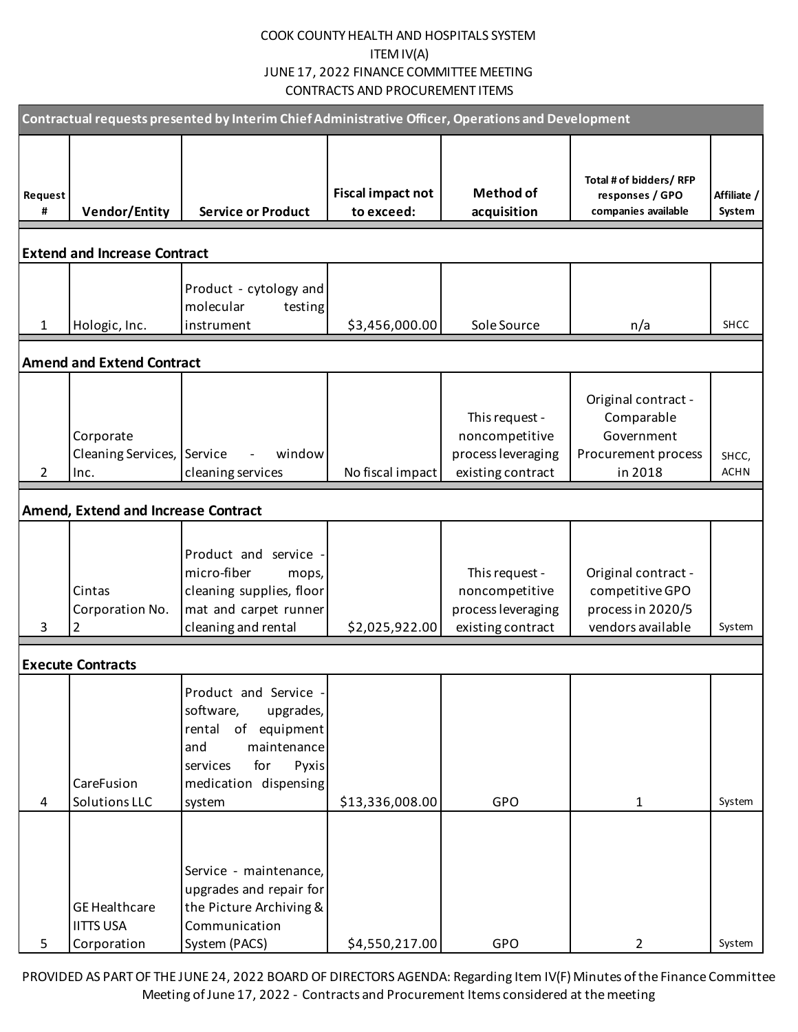# COOK COUNTY HEALTH AND HOSPITALS SYSTEM ITEM IV(A) JUNE 17, 2022 FINANCE COMMITTEE MEETING CONTRACTS AND PROCUREMENT ITEMS

| Contractual requests presented by Interim Chief Administrative Officer, Operations and Development |                                                         |                                                                                                                                                             |                                        |                                                                             |                                                                                   |                       |  |
|----------------------------------------------------------------------------------------------------|---------------------------------------------------------|-------------------------------------------------------------------------------------------------------------------------------------------------------------|----------------------------------------|-----------------------------------------------------------------------------|-----------------------------------------------------------------------------------|-----------------------|--|
| Request<br>#                                                                                       | <b>Vendor/Entity</b>                                    | <b>Service or Product</b>                                                                                                                                   | <b>Fiscal impact not</b><br>to exceed: | <b>Method of</b><br>acquisition                                             | Total # of bidders/ RFP<br>responses / GPO<br>companies available                 | Affiliate /<br>System |  |
|                                                                                                    | <b>Extend and Increase Contract</b>                     |                                                                                                                                                             |                                        |                                                                             |                                                                                   |                       |  |
| $\mathbf{1}$                                                                                       | Hologic, Inc.                                           | Product - cytology and<br>molecular<br>testing<br>instrument                                                                                                | \$3,456,000.00                         | Sole Source                                                                 | n/a                                                                               | <b>SHCC</b>           |  |
| <b>Amend and Extend Contract</b>                                                                   |                                                         |                                                                                                                                                             |                                        |                                                                             |                                                                                   |                       |  |
| $\overline{2}$                                                                                     | Corporate<br>Cleaning Services, Service<br>Inc.         | window<br>cleaning services                                                                                                                                 | No fiscal impact                       | This request -<br>noncompetitive<br>process leveraging<br>existing contract | Original contract -<br>Comparable<br>Government<br>Procurement process<br>in 2018 | SHCC,<br><b>ACHN</b>  |  |
|                                                                                                    | <b>Amend, Extend and Increase Contract</b>              |                                                                                                                                                             |                                        |                                                                             |                                                                                   |                       |  |
| 3                                                                                                  | Cintas<br>Corporation No.<br>2                          | Product and service<br>micro-fiber<br>mops,<br>cleaning supplies, floor<br>mat and carpet runner<br>cleaning and rental                                     | \$2,025,922.00                         | This request -<br>noncompetitive<br>process leveraging<br>existing contract | Original contract -<br>competitive GPO<br>process in 2020/5<br>vendors available  | System                |  |
|                                                                                                    | <b>Execute Contracts</b>                                |                                                                                                                                                             |                                        |                                                                             |                                                                                   |                       |  |
| 4                                                                                                  | CareFusion<br>Solutions LLC                             | Product and Service -<br>software,<br>upgrades,<br>rental of equipment<br>and<br>maintenance<br>Pyxis<br>services<br>for<br>medication dispensing<br>system | \$13,336,008.00                        | <b>GPO</b>                                                                  | 1                                                                                 | System                |  |
| 5                                                                                                  | <b>GE Healthcare</b><br><b>IITTS USA</b><br>Corporation | Service - maintenance,<br>upgrades and repair for<br>the Picture Archiving &<br>Communication<br>System (PACS)                                              | \$4,550,217.00                         | <b>GPO</b>                                                                  | 2                                                                                 | System                |  |

PROVIDED AS PART OF THE JUNE 24, 2022 BOARD OF DIRECTORS AGENDA: Regarding Item IV(F) Minutes of the Finance Committee Meeting of June 17, 2022 - Contracts and Procurement Items considered at the meeting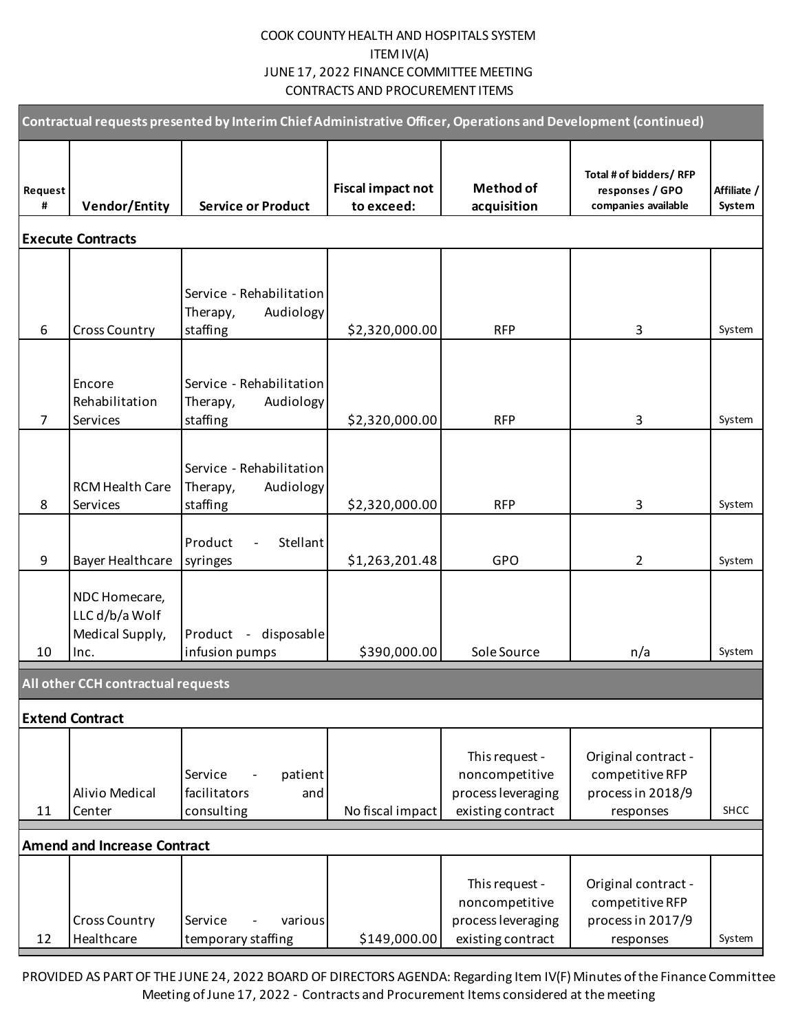# COOK COUNTY HEALTH AND HOSPITALS SYSTEM ITEM IV(A) JUNE 17, 2022 FINANCE COMMITTEE MEETING CONTRACTS AND PROCUREMENT ITEMS

| Contractual requests presented by Interim Chief Administrative Officer, Operations and Development (continued) |                                                            |                                                               |                                        |                                                                             |                                                                          |                              |  |
|----------------------------------------------------------------------------------------------------------------|------------------------------------------------------------|---------------------------------------------------------------|----------------------------------------|-----------------------------------------------------------------------------|--------------------------------------------------------------------------|------------------------------|--|
| Request<br>#                                                                                                   | <b>Vendor/Entity</b>                                       | <b>Service or Product</b>                                     | <b>Fiscal impact not</b><br>to exceed: | <b>Method of</b><br>acquisition                                             | Total # of bidders/ RFP<br>responses / GPO<br>companies available        | Affiliate /<br><b>System</b> |  |
|                                                                                                                | <b>Execute Contracts</b>                                   |                                                               |                                        |                                                                             |                                                                          |                              |  |
| 6                                                                                                              | <b>Cross Country</b>                                       | Service - Rehabilitation<br>Audiology<br>Therapy,<br>staffing | \$2,320,000.00                         | <b>RFP</b>                                                                  | 3                                                                        | System                       |  |
| $\overline{7}$                                                                                                 | Encore<br>Rehabilitation<br>Services                       | Service - Rehabilitation<br>Therapy,<br>Audiology<br>staffing | \$2,320,000.00                         | <b>RFP</b>                                                                  | 3                                                                        | System                       |  |
| 8                                                                                                              | <b>RCM Health Care</b><br>Services                         | Service - Rehabilitation<br>Audiology<br>Therapy,<br>staffing | \$2,320,000.00                         | <b>RFP</b>                                                                  | 3                                                                        | System                       |  |
| 9                                                                                                              | <b>Bayer Healthcare</b>                                    | Product<br>Stellant<br>syringes                               | \$1,263,201.48                         | GPO                                                                         | $\overline{2}$                                                           | System                       |  |
| 10                                                                                                             | NDC Homecare,<br>LLC d/b/a Wolf<br>Medical Supply,<br>Inc. | disposable<br>Product -<br>infusion pumps                     | \$390,000.00                           | Sole Source                                                                 | n/a                                                                      | System                       |  |
|                                                                                                                | All other CCH contractual requests                         |                                                               |                                        |                                                                             |                                                                          |                              |  |
|                                                                                                                | <b>Extend Contract</b>                                     |                                                               |                                        |                                                                             |                                                                          |                              |  |
| 11                                                                                                             | Alivio Medical<br>Center                                   | patient<br>Service<br>facilitators<br>and<br>consulting       | No fiscal impact                       | This request -<br>noncompetitive<br>process leveraging<br>existing contract | Original contract -<br>competitive RFP<br>process in 2018/9<br>responses | SHCC                         |  |
|                                                                                                                | <b>Amend and Increase Contract</b>                         |                                                               |                                        |                                                                             |                                                                          |                              |  |
| 12                                                                                                             | <b>Cross Country</b><br>Healthcare                         | Service<br>various<br>temporary staffing                      | \$149,000.00                           | This request -<br>noncompetitive<br>process leveraging<br>existing contract | Original contract -<br>competitive RFP<br>process in 2017/9<br>responses | System                       |  |

PROVIDED AS PART OF THE JUNE 24, 2022 BOARD OF DIRECTORS AGENDA: Regarding Item IV(F) Minutes of the Finance Committee Meeting of June 17, 2022 - Contracts and Procurement Items considered at the meeting